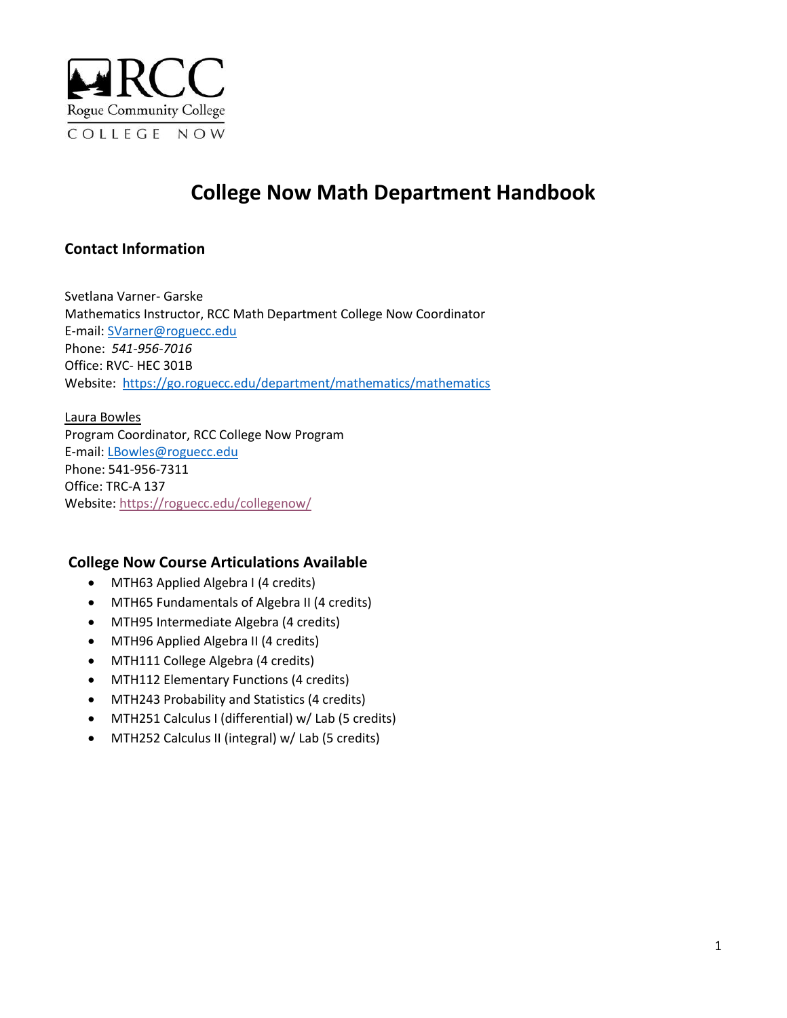

# **College Now Math Department Handbook**

# **Contact Information**

Svetlana Varner- Garske Mathematics Instructor, RCC Math Department College Now Coordinator E-mail: [SVarner@roguecc.edu](mailto:svarner@roguecc.edu) Phone: *[541-956-7016](tel:541-956-7016)* Office: RVC- HEC 301B Website: <https://go.roguecc.edu/department/mathematics/mathematics>

Laura Bowles Program Coordinator, RCC College Now Program E-mail: [LBowles@roguecc.edu](mailto:LBowles@roguecc.edu) Phone: 541-956-7311 Office: TRC-A 137 Website:<https://roguecc.edu/collegenow/>

#### **College Now Course Articulations Available**

- MTH63 Applied Algebra I (4 credits)
- MTH65 Fundamentals of Algebra II (4 credits)
- MTH95 Intermediate Algebra (4 credits)
- MTH96 Applied Algebra II (4 credits)
- MTH111 College Algebra (4 credits)
- MTH112 Elementary Functions (4 credits)
- MTH243 Probability and Statistics (4 credits)
- MTH251 Calculus I (differential) w/ Lab (5 credits)
- MTH252 Calculus II (integral) w/ Lab (5 credits)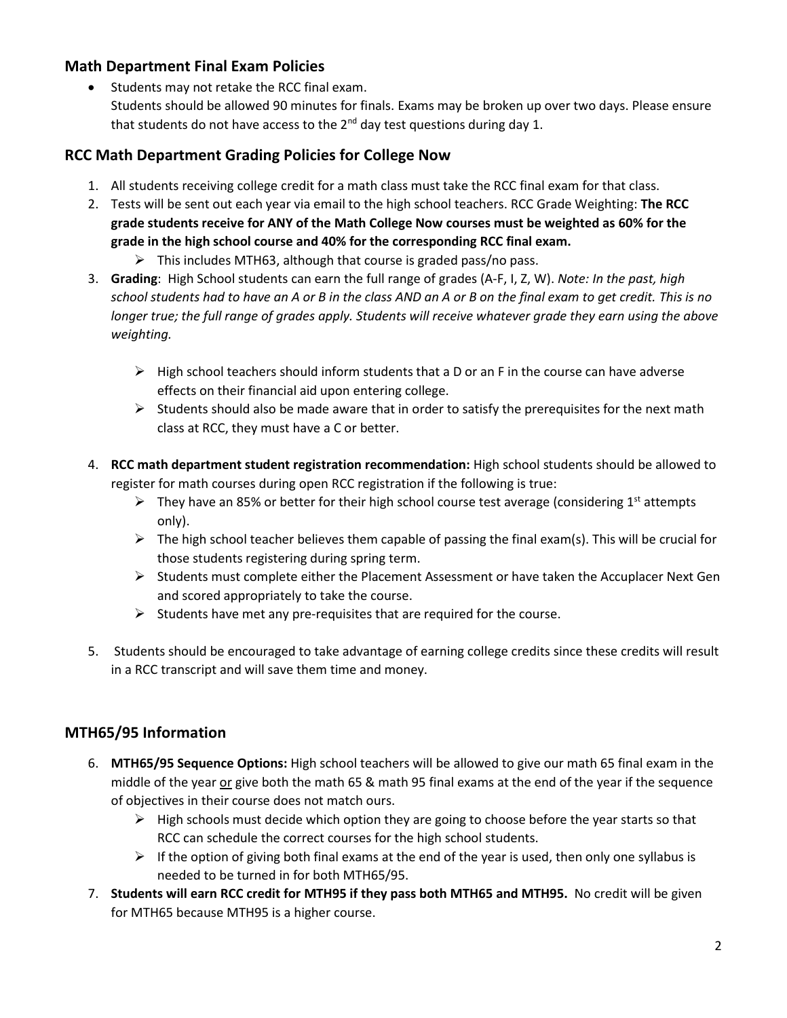## **Math Department Final Exam Policies**

• Students may not retake the RCC final exam. Students should be allowed 90 minutes for finals. Exams may be broken up over two days. Please ensure that students do not have access to the  $2<sup>nd</sup>$  day test questions during day 1.

#### **RCC Math Department Grading Policies for College Now**

- 1. All students receiving college credit for a math class must take the RCC final exam for that class.
- 2. Tests will be sent out each year via email to the high school teachers. RCC Grade Weighting: **The RCC grade students receive for ANY of the Math College Now courses must be weighted as 60% for the grade in the high school course and 40% for the corresponding RCC final exam.**
	- $\triangleright$  This includes MTH63, although that course is graded pass/no pass.
- 3. **Grading**: High School students can earn the full range of grades (A-F, I, Z, W). *Note: In the past, high school students had to have an A or B in the class AND an A or B on the final exam to get credit. This is no longer true; the full range of grades apply. Students will receive whatever grade they earn using the above weighting.*
	- $\triangleright$  High school teachers should inform students that a D or an F in the course can have adverse effects on their financial aid upon entering college.
	- $\triangleright$  Students should also be made aware that in order to satisfy the prerequisites for the next math class at RCC, they must have a C or better.
- 4. **RCC math department student registration recommendation:** High school students should be allowed to register for math courses during open RCC registration if the following is true:
	- $\triangleright$  They have an 85% or better for their high school course test average (considering 1<sup>st</sup> attempts only).
	- $\triangleright$  The high school teacher believes them capable of passing the final exam(s). This will be crucial for those students registering during spring term.
	- $\triangleright$  Students must complete either the Placement Assessment or have taken the Accuplacer Next Gen and scored appropriately to take the course.
	- $\triangleright$  Students have met any pre-requisites that are required for the course.
- 5. Students should be encouraged to take advantage of earning college credits since these credits will result in a RCC transcript and will save them time and money.

# **MTH65/95 Information**

- 6. **MTH65/95 Sequence Options:** High school teachers will be allowed to give our math 65 final exam in the middle of the year or give both the math 65 & math 95 final exams at the end of the year if the sequence of objectives in their course does not match ours.
	- ➢ High schools must decide which option they are going to choose before the year starts so that RCC can schedule the correct courses for the high school students.
	- $\triangleright$  If the option of giving both final exams at the end of the year is used, then only one syllabus is needed to be turned in for both MTH65/95.
- 7. **Students will earn RCC credit for MTH95 if they pass both MTH65 and MTH95.** No credit will be given for MTH65 because MTH95 is a higher course.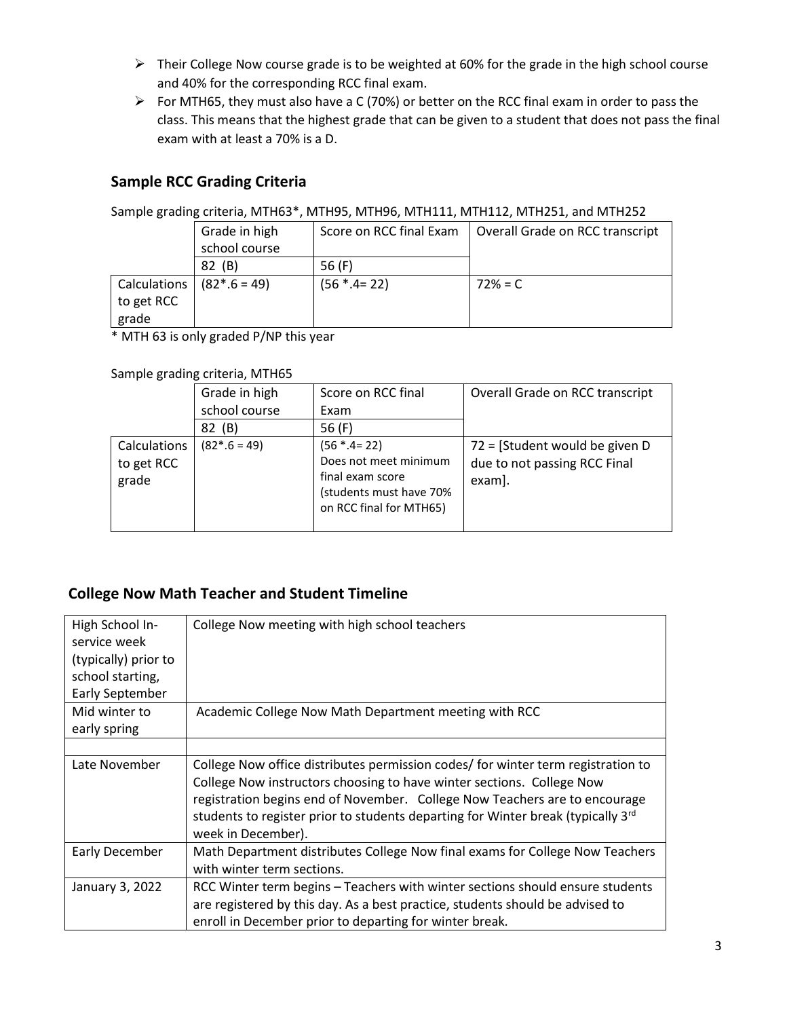- ➢ Their College Now course grade is to be weighted at 60% for the grade in the high school course and 40% for the corresponding RCC final exam.
- ➢ For MTH65, they must also have a C (70%) or better on the RCC final exam in order to pass the class. This means that the highest grade that can be given to a student that does not pass the final exam with at least a 70% is a D.

# **Sample RCC Grading Criteria**

Sample grading criteria, MTH63\*, MTH95, MTH96, MTH111, MTH112, MTH251, and MTH252

|              | Grade in high  | Score on RCC final Exam | Overall Grade on RCC transcript |
|--------------|----------------|-------------------------|---------------------------------|
|              | school course  |                         |                                 |
|              | (B)<br>82      | 56 (F)                  |                                 |
| Calculations | $(82*.6 = 49)$ | $(56 * .4 = 22)$        | $72% = C$                       |
| to get RCC   |                |                         |                                 |
| grade        |                |                         |                                 |

\* MTH 63 is only graded P/NP this year

#### Sample grading criteria, MTH65

|                                     | Grade in high  | Score on RCC final                                                                                                  | Overall Grade on RCC transcript                                          |
|-------------------------------------|----------------|---------------------------------------------------------------------------------------------------------------------|--------------------------------------------------------------------------|
|                                     | school course  | Exam                                                                                                                |                                                                          |
|                                     | (B)<br>82      | 56 (F)                                                                                                              |                                                                          |
| Calculations<br>to get RCC<br>grade | $(82*.6 = 49)$ | $(56 * .4 = 22)$<br>Does not meet minimum<br>final exam score<br>(students must have 70%<br>on RCC final for MTH65) | 72 = [Student would be given D<br>due to not passing RCC Final<br>exam]. |

# **College Now Math Teacher and Student Timeline**

| High School In-<br>service week<br>(typically) prior to<br>school starting,<br>Early September | College Now meeting with high school teachers                                                                                                                                                                                                                                                                                                                 |
|------------------------------------------------------------------------------------------------|---------------------------------------------------------------------------------------------------------------------------------------------------------------------------------------------------------------------------------------------------------------------------------------------------------------------------------------------------------------|
| Mid winter to<br>early spring                                                                  | Academic College Now Math Department meeting with RCC                                                                                                                                                                                                                                                                                                         |
|                                                                                                |                                                                                                                                                                                                                                                                                                                                                               |
| Late November                                                                                  | College Now office distributes permission codes/ for winter term registration to<br>College Now instructors choosing to have winter sections. College Now<br>registration begins end of November. College Now Teachers are to encourage<br>students to register prior to students departing for Winter break (typically 3 <sup>rd</sup><br>week in December). |
| Early December                                                                                 | Math Department distributes College Now final exams for College Now Teachers<br>with winter term sections.                                                                                                                                                                                                                                                    |
| January 3, 2022                                                                                | RCC Winter term begins – Teachers with winter sections should ensure students<br>are registered by this day. As a best practice, students should be advised to<br>enroll in December prior to departing for winter break.                                                                                                                                     |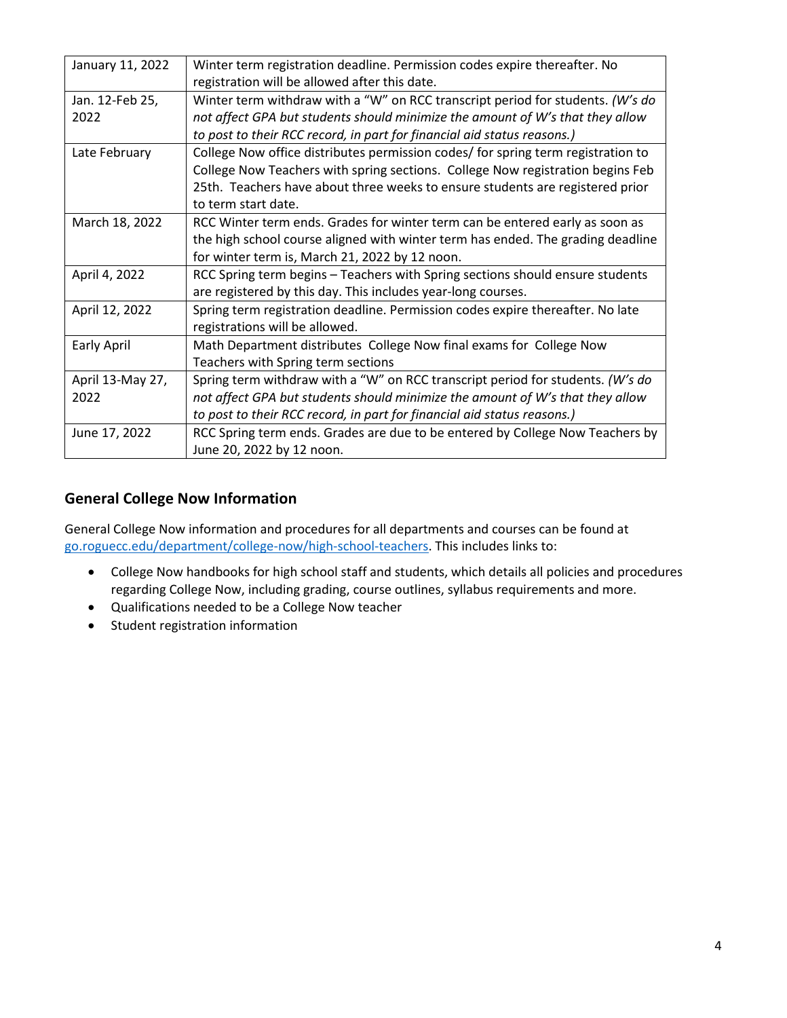| January 11, 2022 | Winter term registration deadline. Permission codes expire thereafter. No        |
|------------------|----------------------------------------------------------------------------------|
|                  | registration will be allowed after this date.                                    |
| Jan. 12-Feb 25,  | Winter term withdraw with a "W" on RCC transcript period for students. (W's do   |
| 2022             | not affect GPA but students should minimize the amount of W's that they allow    |
|                  | to post to their RCC record, in part for financial aid status reasons.)          |
| Late February    | College Now office distributes permission codes/ for spring term registration to |
|                  | College Now Teachers with spring sections. College Now registration begins Feb   |
|                  | 25th. Teachers have about three weeks to ensure students are registered prior    |
|                  | to term start date.                                                              |
| March 18, 2022   | RCC Winter term ends. Grades for winter term can be entered early as soon as     |
|                  | the high school course aligned with winter term has ended. The grading deadline  |
|                  | for winter term is, March 21, 2022 by 12 noon.                                   |
| April 4, 2022    | RCC Spring term begins - Teachers with Spring sections should ensure students    |
|                  | are registered by this day. This includes year-long courses.                     |
| April 12, 2022   | Spring term registration deadline. Permission codes expire thereafter. No late   |
|                  | registrations will be allowed.                                                   |
| Early April      | Math Department distributes College Now final exams for College Now              |
|                  | Teachers with Spring term sections                                               |
| April 13-May 27, | Spring term withdraw with a "W" on RCC transcript period for students. (W's do   |
| 2022             | not affect GPA but students should minimize the amount of W's that they allow    |
|                  | to post to their RCC record, in part for financial aid status reasons.)          |
| June 17, 2022    | RCC Spring term ends. Grades are due to be entered by College Now Teachers by    |
|                  | June 20, 2022 by 12 noon.                                                        |

#### **General College Now Information**

General College Now information and procedures for all departments and courses can be found at [go.roguecc.edu/department/college-now/high-school-teachers.](http://go.roguecc.edu/department/college-now/high-school-teachers) This includes links to:

- College Now handbooks for high school staff and students, which details all policies and procedures regarding College Now, including grading, course outlines, syllabus requirements and more.
- Qualifications needed to be a College Now teacher
- Student registration information